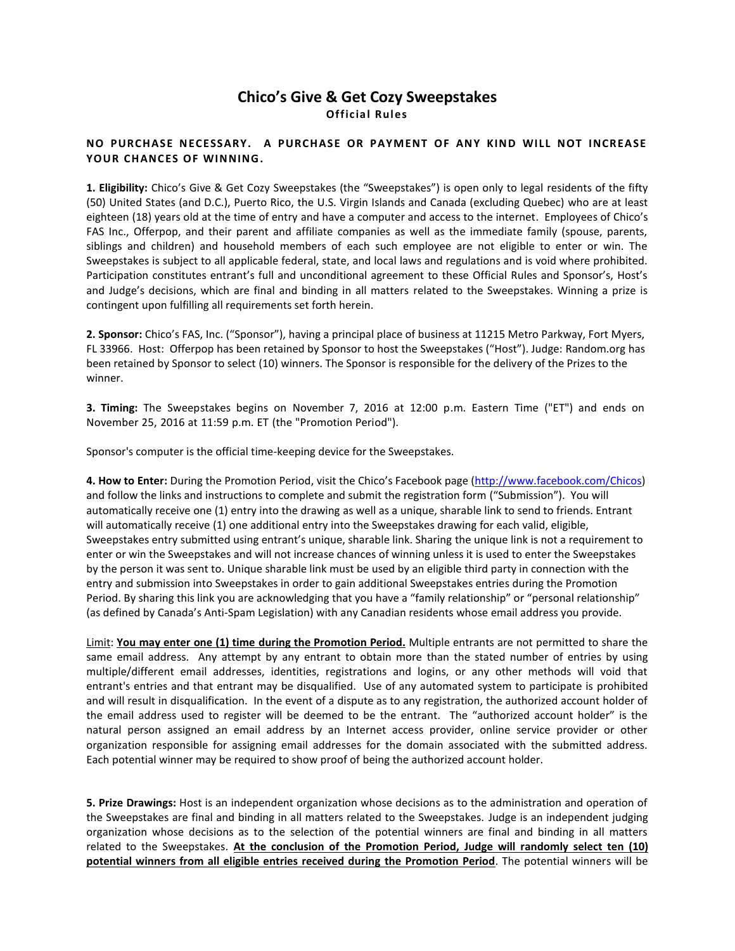## **Chico's Give & Get Cozy Sweepstakes Official Rules**

## **NO PURCHASE NECESSARY. A PURCHASE OR PAYM ENT OF ANY KIND WILL NOT INCREASE YOUR CHANCES OF WINNING.**

**1. Eligibility:** Chico's Give & Get Cozy Sweepstakes (the "Sweepstakes") is open only to legal residents of the fifty (50) United States (and D.C.), Puerto Rico, the U.S. Virgin Islands and Canada (excluding Quebec) who are at least eighteen (18) years old at the time of entry and have a computer and access to the internet. Employees of Chico's FAS Inc., Offerpop, and their parent and affiliate companies as well as the immediate family (spouse, parents, siblings and children) and household members of each such employee are not eligible to enter or win. The Sweepstakes is subject to all applicable federal, state, and local laws and regulations and is void where prohibited. Participation constitutes entrant's full and unconditional agreement to these Official Rules and Sponsor's, Host's and Judge's decisions, which are final and binding in all matters related to the Sweepstakes. Winning a prize is contingent upon fulfilling all requirements set forth herein.

**2. Sponsor:** Chico's FAS, Inc. ("Sponsor"), having a principal place of business at 11215 Metro Parkway, Fort Myers, FL 33966. Host: Offerpop has been retained by Sponsor to host the Sweepstakes ("Host"). Judge: Random.org has been retained by Sponsor to select (10) winners. The Sponsor is responsible for the delivery of the Prizes to the winner.

**3. Timing:** The Sweepstakes begins on November 7, 2016 at 12:00 p.m. Eastern Time ("ET") and ends on November 25, 2016 at 11:59 p.m. ET (the "Promotion Period").

Sponsor's computer is the official time-keeping device for the Sweepstakes.

**4. How to Enter:** During the Promotion Period, visit the Chico's Facebook page [\(http://www.facebook.com/Chicos\)](http://www.facebook.com/Chicos) and follow the links and instructions to complete and submit the registration form ("Submission"). You will automatically receive one (1) entry into the drawing as well as a unique, sharable link to send to friends. Entrant will automatically receive (1) one additional entry into the Sweepstakes drawing for each valid, eligible, Sweepstakes entry submitted using entrant's unique, sharable link. Sharing the unique link is not a requirement to enter or win the Sweepstakes and will not increase chances of winning unless it is used to enter the Sweepstakes by the person it was sent to. Unique sharable link must be used by an eligible third party in connection with the entry and submission into Sweepstakes in order to gain additional Sweepstakes entries during the Promotion Period. By sharing this link you are acknowledging that you have a "family relationship" or "personal relationship" (as defined by Canada's Anti-Spam Legislation) with any Canadian residents whose email address you provide.

Limit: **You may enter one (1) time during the Promotion Period.** Multiple entrants are not permitted to share the same email address. Any attempt by any entrant to obtain more than the stated number of entries by using multiple/different email addresses, identities, registrations and logins, or any other methods will void that entrant's entries and that entrant may be disqualified. Use of any automated system to participate is prohibited and will result in disqualification. In the event of a dispute as to any registration, the authorized account holder of the email address used to register will be deemed to be the entrant. The "authorized account holder" is the natural person assigned an email address by an Internet access provider, online service provider or other organization responsible for assigning email addresses for the domain associated with the submitted address. Each potential winner may be required to show proof of being the authorized account holder.

**5. Prize Drawings:** Host is an independent organization whose decisions as to the administration and operation of the Sweepstakes are final and binding in all matters related to the Sweepstakes. Judge is an independent judging organization whose decisions as to the selection of the potential winners are final and binding in all matters related to the Sweepstakes. **At the conclusion of the Promotion Period, Judge will randomly select ten (10) potential winners from all eligible entries received during the Promotion Period**. The potential winners will be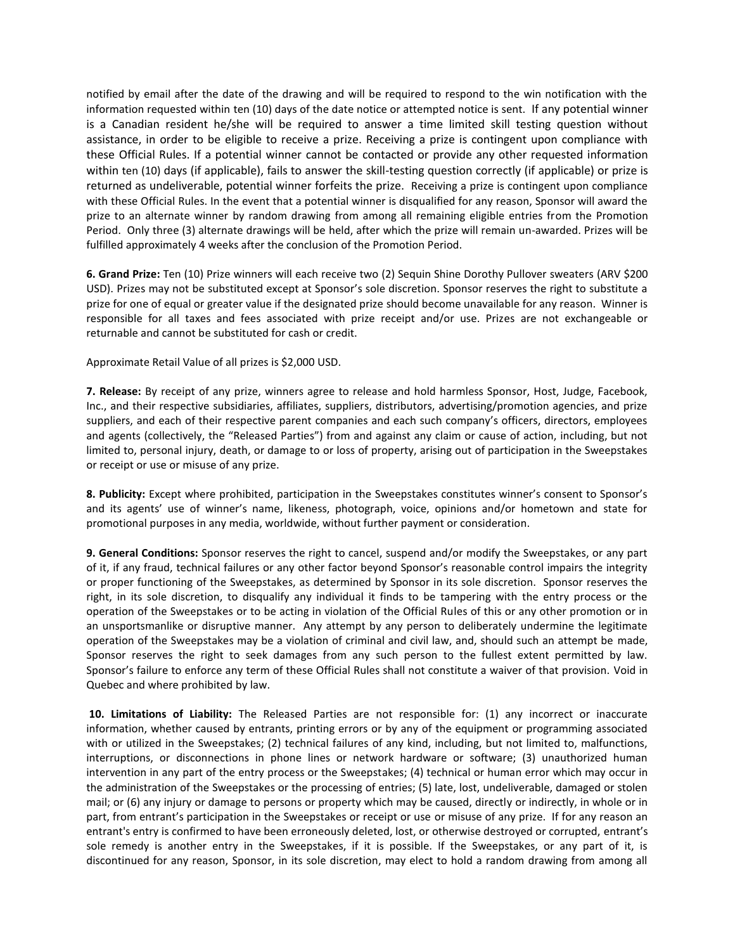notified by email after the date of the drawing and will be required to respond to the win notification with the information requested within ten (10) days of the date notice or attempted notice is sent. If any potential winner is a Canadian resident he/she will be required to answer a time limited skill testing question without assistance, in order to be eligible to receive a prize. Receiving a prize is contingent upon compliance with these Official Rules. If a potential winner cannot be contacted or provide any other requested information within ten (10) days (if applicable), fails to answer the skill-testing question correctly (if applicable) or prize is returned as undeliverable, potential winner forfeits the prize. Receiving a prize is contingent upon compliance with these Official Rules. In the event that a potential winner is disqualified for any reason, Sponsor will award the prize to an alternate winner by random drawing from among all remaining eligible entries from the Promotion Period. Only three (3) alternate drawings will be held, after which the prize will remain un-awarded. Prizes will be fulfilled approximately 4 weeks after the conclusion of the Promotion Period.

**6. Grand Prize:** Ten (10) Prize winners will each receive two (2) Sequin Shine Dorothy Pullover sweaters (ARV \$200 USD). Prizes may not be substituted except at Sponsor's sole discretion. Sponsor reserves the right to substitute a prize for one of equal or greater value if the designated prize should become unavailable for any reason. Winner is responsible for all taxes and fees associated with prize receipt and/or use. Prizes are not exchangeable or returnable and cannot be substituted for cash or credit.

Approximate Retail Value of all prizes is \$2,000 USD.

**7. Release:** By receipt of any prize, winners agree to release and hold harmless Sponsor, Host, Judge, Facebook, Inc., and their respective subsidiaries, affiliates, suppliers, distributors, advertising/promotion agencies, and prize suppliers, and each of their respective parent companies and each such company's officers, directors, employees and agents (collectively, the "Released Parties") from and against any claim or cause of action, including, but not limited to, personal injury, death, or damage to or loss of property, arising out of participation in the Sweepstakes or receipt or use or misuse of any prize.

**8. Publicity:** Except where prohibited, participation in the Sweepstakes constitutes winner's consent to Sponsor's and its agents' use of winner's name, likeness, photograph, voice, opinions and/or hometown and state for promotional purposes in any media, worldwide, without further payment or consideration.

**9. General Conditions:** Sponsor reserves the right to cancel, suspend and/or modify the Sweepstakes, or any part of it, if any fraud, technical failures or any other factor beyond Sponsor's reasonable control impairs the integrity or proper functioning of the Sweepstakes, as determined by Sponsor in its sole discretion. Sponsor reserves the right, in its sole discretion, to disqualify any individual it finds to be tampering with the entry process or the operation of the Sweepstakes or to be acting in violation of the Official Rules of this or any other promotion or in an unsportsmanlike or disruptive manner. Any attempt by any person to deliberately undermine the legitimate operation of the Sweepstakes may be a violation of criminal and civil law, and, should such an attempt be made, Sponsor reserves the right to seek damages from any such person to the fullest extent permitted by law. Sponsor's failure to enforce any term of these Official Rules shall not constitute a waiver of that provision. Void in Quebec and where prohibited by law.

**10. Limitations of Liability:** The Released Parties are not responsible for: (1) any incorrect or inaccurate information, whether caused by entrants, printing errors or by any of the equipment or programming associated with or utilized in the Sweepstakes; (2) technical failures of any kind, including, but not limited to, malfunctions, interruptions, or disconnections in phone lines or network hardware or software; (3) unauthorized human intervention in any part of the entry process or the Sweepstakes; (4) technical or human error which may occur in the administration of the Sweepstakes or the processing of entries; (5) late, lost, undeliverable, damaged or stolen mail; or (6) any injury or damage to persons or property which may be caused, directly or indirectly, in whole or in part, from entrant's participation in the Sweepstakes or receipt or use or misuse of any prize. If for any reason an entrant's entry is confirmed to have been erroneously deleted, lost, or otherwise destroyed or corrupted, entrant's sole remedy is another entry in the Sweepstakes, if it is possible. If the Sweepstakes, or any part of it, is discontinued for any reason, Sponsor, in its sole discretion, may elect to hold a random drawing from among all